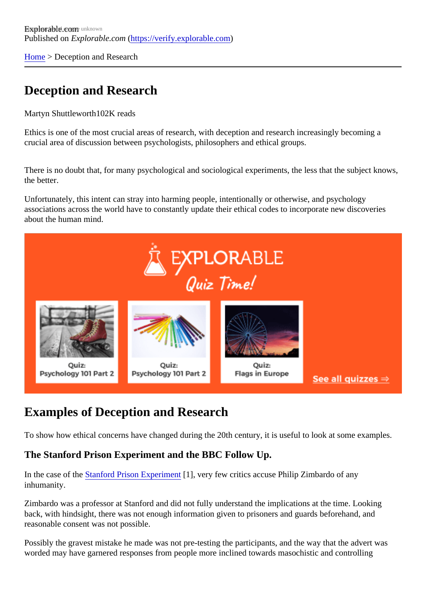[Home](https://verify.explorable.com/)> Deception and Research

## Deception and Research

Martyn Shuttleworth02K reads

Ethics is one of the most crucial areas of research, with deception and research increasingly becoming a crucial area of discussion between psychologists, philosophers and ethical groups.

There is no doubt that, for many psychological and sociological experiments, the less that the subject know the better.

Unfortunately, this intent can stray into harming people, intentionally or otherwise, and psychology associations across the world have to constantly update their ethical codes to incorporate new discoveries about the human mind.

## Examples of Deception and Research

To show how ethical concerns have changed during the 20th century, it is useful to look at some examples.

The Stanford Prison Experiment and the BBC Follow Up.

In the case of t[he Stanford Prison Experime](https://verify.explorable.com/stanford-prison-experiment)nt [1], very few critics accuse Philip Zimbardo of any inhumanity.

Zimbardo was a professor at Stanford and did not fully understand the implications at the time. Looking back, with hindsight, there was not enough information given to prisoners and guards beforehand, and reasonable consent was not possible.

Possibly the gravest mistake he made was not pre-testing the participants, and the way that the advert wa worded may have garnered responses from people more inclined towards masochistic and controlling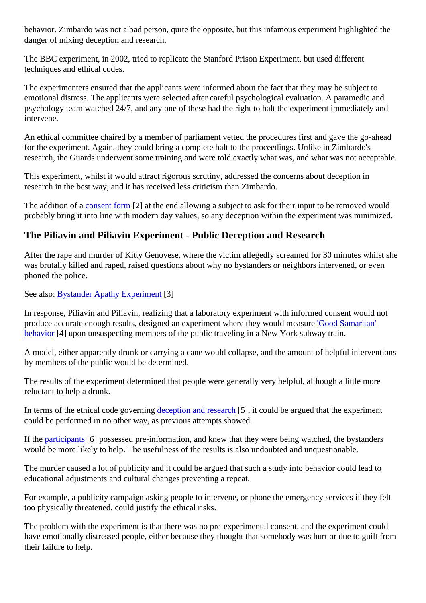behavior. Zimbardo was not a bad person, quite the opposite, but this infamous experiment highlighted the danger of mixing deception and research.

The BBC experiment, in 2002, tried to replicate the Stanford Prison Experiment, but used different techniques and ethical codes.

The experimenters ensured that the applicants were informed about the fact that they may be subject to emotional distress. The applicants were selected after careful psychological evaluation. A paramedic and psychology team watched 24/7, and any one of these had the right to halt the experiment immediately and intervene.

An ethical committee chaired by a member of parliament vetted the procedures first and gave the go-ahead for the experiment. Again, they could bring a complete halt to the proceedings. Unlike in Zimbardo's research, the Guards underwent some training and were told exactly what was, and what was not accepta

This experiment, whilst it would attract rigorous scrutiny, addressed the concerns about deception in research in the best way, and it has received less criticism than Zimbardo.

The addition of **a** consent form<sup>[2]</sup> at the end allowing a subject to ask for their input to be removed would probably bring it into line with modern day values, so any deception within the experiment was minimized.

The Piliavin and Piliavin Experiment - Public Deception and Research

After the rape and murder of Kitty Genovese, where the victim allegedly screamed for 30 minutes whilst she was brutally killed and raped, raised questions about why no bystanders or neighbors intervened, or even phoned the police.

See alsoBystander Apathy Experime<sup>8</sup>]

In response, Piliavin and Piliavin, realizing that a laboratory experiment with informed consent would not produce accurate enough results, designed an experiment where they would recast famaritan' [behavio](https://verify.explorable.com/helping-behavior)r<sup>[4]</sup> upon unsuspecting members of the public traveling in a New York subway train.

A model, either apparently drunk or carrying a cane would collapse, and the amount of helpful intervention by members of the public would be determined.

The results of the experiment determined that people were generally very helpful, although a little more reluctant to help a drunk.

In terms of the ethical code governid geteption and research, it could be argued that the experiment could be performed in no other way, as previous attempts showed.

If the [participants](https://verify.explorable.com/social-science-subjects) [6] possessed pre-information, and knew that they were being watched, the bystanders would be more likely to help. The usefulness of the results is also undoubted and unquestionable.

The murder caused a lot of publicity and it could be argued that such a study into behavior could lead to educational adjustments and cultural changes preventing a repeat.

For example, a publicity campaign asking people to intervene, or phone the emergency services if they felt too physically threatened, could justify the ethical risks.

The problem with the experiment is that there was no pre-experimental consent, and the experiment could have emotionally distressed people, either because they thought that somebody was hurt or due to quilt from their failure to help.